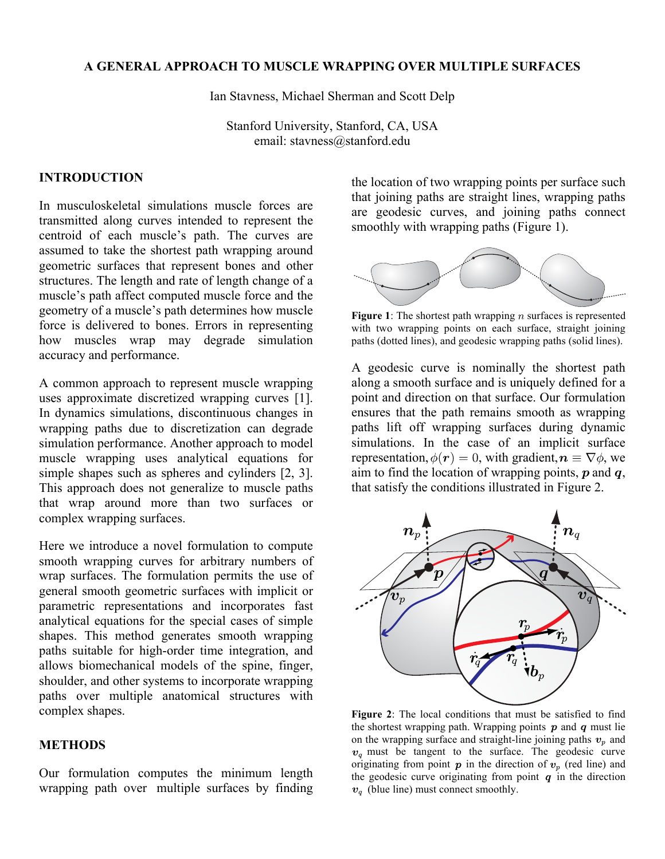# **A GENERAL APPROACH TO MUSCLE WRAPPING OVER MULTIPLE SURFACES**

Ian Stavness, Michael Sherman and Scott Delp

Stanford University, Stanford, CA, USA email: stavness@stanford.edu

# **INTRODUCTION**

In musculoskeletal simulations muscle forces are transmitted along curves intended to represent the centroid of each muscle's path. The curves are assumed to take the shortest path wrapping around geometric surfaces that represent bones and other structures. The length and rate of length change of a muscle's path affect computed muscle force and the geometry of a muscle's path determines how muscle force is delivered to bones. Errors in representing how muscles wrap may degrade simulation accuracy and performance.

A common approach to represent muscle wrapping uses approximate discretized wrapping curves [1]. In dynamics simulations, discontinuous changes in wrapping paths due to discretization can degrade simulation performance. Another approach to model muscle wrapping uses analytical equations for simple shapes such as spheres and cylinders [2, 3]. This approach does not generalize to muscle paths that wrap around more than two surfaces or complex wrapping surfaces.

Here we introduce a novel formulation to compute smooth wrapping curves for arbitrary numbers of wrap surfaces. The formulation permits the use of general smooth geometric surfaces with implicit or parametric representations and incorporates fast analytical equations for the special cases of simple shapes. This method generates smooth wrapping paths suitable for high-order time integration, and allows biomechanical models of the spine, finger, shoulder, and other systems to incorporate wrapping paths over multiple anatomical structures with complex shapes.

# **METHODS**

Our formulation computes the minimum length wrapping path over multiple surfaces by finding the location of two wrapping points per surface such that joining paths are straight lines, wrapping paths are geodesic curves, and joining paths connect smoothly with wrapping paths (Figure 1).



**Figure 1**: The shortest path wrapping  $n$  surfaces is represented with two wrapping points on each surface, straight joining paths (dotted lines), and geodesic wrapping paths (solid lines).

A geodesic curve is nominally the shortest path along a smooth surface and is uniquely defined for a point and direction on that surface. Our formulation ensures that the path remains smooth as wrapping paths lift off wrapping surfaces during dynamic simulations. In the case of an implicit surface representation,  $\phi(\mathbf{r}) = 0$ , with gradient,  $\mathbf{n} \equiv \nabla \phi$ , we aim to find the location of wrapping points,  $p$  and  $q$ , that satisfy the conditions illustrated in Figure 2.



**Figure 2**: The local conditions that must be satisfied to find the shortest wrapping path. Wrapping points  $p$  and  $q$  must lie on the wrapping surface and straight-line joining paths  $v_p$  and  $v_q$  must be tangent to the surface. The geodesic curve originating from point  $p$  in the direction of  $v_p$  (red line) and the geodesic curve originating from point  $q$  in the direction  $v_a$  (blue line) must connect smoothly.